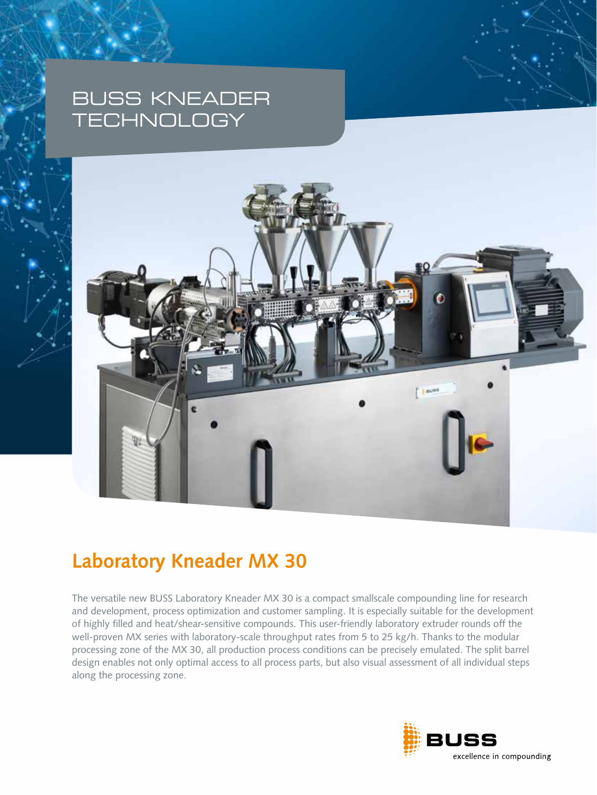# BUSS KNEADER **TECHNOLOGY**



# **Laboratory Kneader MX 30**

The versatile new BUSS Laboratory Kneader MX 30 is a compact smallscale compounding line for research and development, process optimization and customer sampling. It is especially suitable for the development of highly filled and heat/shear-sensitive compounds. This user-friendly laboratory extruder rounds off the well-proven MX series with laboratory-scale throughput rates from 5 to 25 kg/h. Thanks to the modular processing zone of the MX 30, all production process conditions can be precisely emulated. The split barrel design enables not only optimal access to all process parts, but also visual assessment of all individual steps along the processing zone.